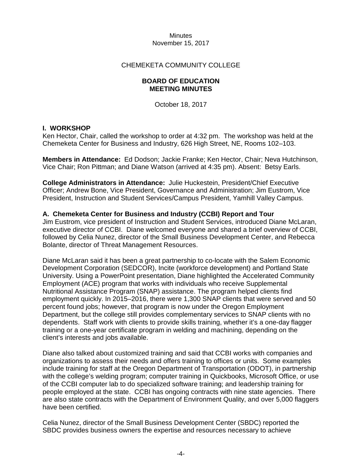#### CHEMEKETA COMMUNITY COLLEGE

#### **BOARD OF EDUCATION MEETING MINUTES**

October 18, 2017

#### **I. WORKSHOP**

Ken Hector, Chair, called the workshop to order at 4:32 pm. The workshop was held at the Chemeketa Center for Business and Industry, 626 High Street, NE, Rooms 102–103.

**Members in Attendance:** Ed Dodson; Jackie Franke; Ken Hector, Chair; Neva Hutchinson, Vice Chair; Ron Pittman; and Diane Watson (arrived at 4:35 pm). Absent: Betsy Earls.

**College Administrators in Attendance:** Julie Huckestein, President/Chief Executive Officer; Andrew Bone, Vice President, Governance and Administration; Jim Eustrom, Vice President, Instruction and Student Services/Campus President, Yamhill Valley Campus.

#### **A. Chemeketa Center for Business and Industry (CCBI) Report and Tour**

Jim Eustrom, vice president of Instruction and Student Services, introduced Diane McLaran, executive director of CCBI. Diane welcomed everyone and shared a brief overview of CCBI, followed by Celia Nunez, director of the Small Business Development Center, and Rebecca Bolante, director of Threat Management Resources.

Diane McLaran said it has been a great partnership to co-locate with the Salem Economic Development Corporation (SEDCOR), Incite (workforce development) and Portland State University. Using a PowerPoint presentation, Diane highlighted the Accelerated Community Employment (ACE) program that works with individuals who receive Supplemental Nutritional Assistance Program (SNAP) assistance. The program helped clients find employment quickly. In 2015–2016, there were 1,300 SNAP clients that were served and 50 percent found jobs; however, that program is now under the Oregon Employment Department, but the college still provides complementary services to SNAP clients with no dependents. Staff work with clients to provide skills training, whether it's a one-day flagger training or a one-year certificate program in welding and machining, depending on the client's interests and jobs available.

Diane also talked about customized training and said that CCBI works with companies and organizations to assess their needs and offers training to offices or units. Some examples include training for staff at the Oregon Department of Transportation (ODOT), in partnership with the college's welding program; computer training in Quickbooks, Microsoft Office, or use of the CCBI computer lab to do specialized software training; and leadership training for people employed at the state. CCBI has ongoing contracts with nine state agencies. There are also state contracts with the Department of Environment Quality, and over 5,000 flaggers have been certified.

Celia Nunez, director of the Small Business Development Center (SBDC) reported the SBDC provides business owners the expertise and resources necessary to achieve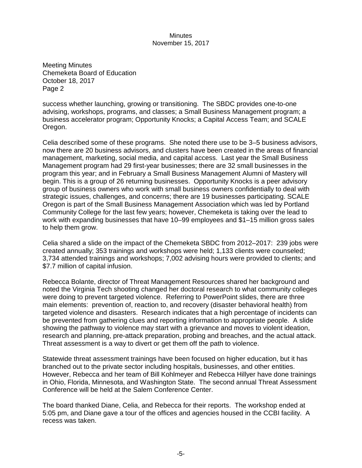Meeting Minutes Chemeketa Board of Education October 18, 2017 Page 2

success whether launching, growing or transitioning. The SBDC provides one-to-one advising, workshops, programs, and classes; a Small Business Management program; a business accelerator program; Opportunity Knocks; a Capital Access Team; and SCALE Oregon.

Celia described some of these programs. She noted there use to be 3–5 business advisors, now there are 20 business advisors, and clusters have been created in the areas of financial management, marketing, social media, and capital access. Last year the Small Business Management program had 29 first-year businesses; there are 32 small businesses in the program this year; and in February a Small Business Management Alumni of Mastery will begin. This is a group of 26 returning businesses. Opportunity Knocks is a peer advisory group of business owners who work with small business owners confidentially to deal with strategic issues, challenges, and concerns; there are 19 businesses participating. SCALE Oregon is part of the Small Business Management Association which was led by Portland Community College for the last few years; however, Chemeketa is taking over the lead to work with expanding businesses that have 10–99 employees and \$1–15 million gross sales to help them grow.

Celia shared a slide on the impact of the Chemeketa SBDC from 2012–2017: 239 jobs were created annually; 353 trainings and workshops were held; 1,133 clients were counseled; 3,734 attended trainings and workshops; 7,002 advising hours were provided to clients; and \$7.7 million of capital infusion.

Rebecca Bolante, director of Threat Management Resources shared her background and noted the Virginia Tech shooting changed her doctoral research to what community colleges were doing to prevent targeted violence. Referring to PowerPoint slides, there are three main elements: prevention of, reaction to, and recovery (disaster behavioral health) from targeted violence and disasters. Research indicates that a high percentage of incidents can be prevented from gathering clues and reporting information to appropriate people. A slide showing the pathway to violence may start with a grievance and moves to violent ideation, research and planning, pre-attack preparation, probing and breaches, and the actual attack. Threat assessment is a way to divert or get them off the path to violence.

Statewide threat assessment trainings have been focused on higher education, but it has branched out to the private sector including hospitals, businesses, and other entities. However, Rebecca and her team of Bill Kohlmeyer and Rebecca Hillyer have done trainings in Ohio, Florida, Minnesota, and Washington State. The second annual Threat Assessment Conference will be held at the Salem Conference Center.

The board thanked Diane, Celia, and Rebecca for their reports. The workshop ended at 5:05 pm, and Diane gave a tour of the offices and agencies housed in the CCBI facility. A recess was taken.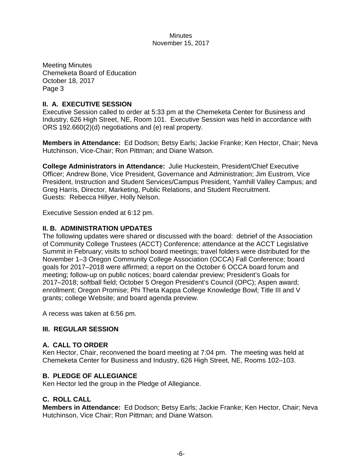Meeting Minutes Chemeketa Board of Education October 18, 2017 Page 3

# **II. A. EXECUTIVE SESSION**

Executive Session called to order at 5:33 pm at the Chemeketa Center for Business and Industry, 626 High Street, NE, Room 101. Executive Session was held in accordance with ORS 192.660(2)(d) negotiations and (e) real property.

**Members in Attendance:** Ed Dodson; Betsy Earls; Jackie Franke; Ken Hector, Chair; Neva Hutchinson, Vice-Chair; Ron Pittman; and Diane Watson.

**College Administrators in Attendance:** Julie Huckestein, President/Chief Executive Officer; Andrew Bone, Vice President, Governance and Administration; Jim Eustrom, Vice President, Instruction and Student Services/Campus President, Yamhill Valley Campus; and Greg Harris, Director, Marketing, Public Relations, and Student Recruitment. Guests: Rebecca Hillyer, Holly Nelson.

Executive Session ended at 6:12 pm.

## **II. B. ADMINISTRATION UPDATES**

The following updates were shared or discussed with the board: debrief of the Association of Community College Trustees (ACCT) Conference; attendance at the ACCT Legislative Summit in February; visits to school board meetings; travel folders were distributed for the November 1–3 Oregon Community College Association (OCCA) Fall Conference; board goals for 2017–2018 were affirmed; a report on the October 6 OCCA board forum and meeting; follow-up on public notices; board calendar preview; President's Goals for 2017–2018; softball field; October 5 Oregon President's Council (OPC); Aspen award; enrollment; Oregon Promise; Phi Theta Kappa College Knowledge Bowl; Title III and V grants; college Website; and board agenda preview.

A recess was taken at 6:56 pm.

## **III. REGULAR SESSION**

## **A. CALL TO ORDER**

Ken Hector, Chair, reconvened the board meeting at 7:04 pm. The meeting was held at Chemeketa Center for Business and Industry, 626 High Street, NE, Rooms 102–103.

## **B. PLEDGE OF ALLEGIANCE**

Ken Hector led the group in the Pledge of Allegiance.

## **C. ROLL CALL**

**Members in Attendance:** Ed Dodson; Betsy Earls; Jackie Franke; Ken Hector, Chair; Neva Hutchinson, Vice Chair; Ron Pittman; and Diane Watson.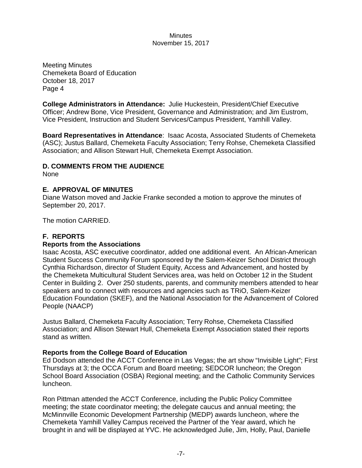Meeting Minutes Chemeketa Board of Education October 18, 2017 Page 4

**College Administrators in Attendance:** Julie Huckestein, President/Chief Executive Officer; Andrew Bone, Vice President, Governance and Administration; and Jim Eustrom, Vice President, Instruction and Student Services/Campus President, Yamhill Valley.

**Board Representatives in Attendance**: Isaac Acosta, Associated Students of Chemeketa (ASC); Justus Ballard, Chemeketa Faculty Association; Terry Rohse, Chemeketa Classified Association; and Allison Stewart Hull, Chemeketa Exempt Association.

## **D. COMMENTS FROM THE AUDIENCE**

None

#### **E. APPROVAL OF MINUTES**

Diane Watson moved and Jackie Franke seconded a motion to approve the minutes of September 20, 2017.

The motion CARRIED.

## **F. REPORTS**

#### **Reports from the Associations**

Isaac Acosta, ASC executive coordinator, added one additional event. An African-American Student Success Community Forum sponsored by the Salem-Keizer School District through Cynthia Richardson, director of Student Equity, Access and Advancement, and hosted by the Chemeketa Multicultural Student Services area, was held on October 12 in the Student Center in Building 2. Over 250 students, parents, and community members attended to hear speakers and to connect with resources and agencies such as TRiO, Salem-Keizer Education Foundation (SKEF), and the National Association for the Advancement of Colored People (NAACP)

Justus Ballard, Chemeketa Faculty Association; Terry Rohse, Chemeketa Classified Association; and Allison Stewart Hull, Chemeketa Exempt Association stated their reports stand as written.

#### **Reports from the College Board of Education**

Ed Dodson attended the ACCT Conference in Las Vegas; the art show "Invisible Light"; First Thursdays at 3; the OCCA Forum and Board meeting; SEDCOR luncheon; the Oregon School Board Association (OSBA) Regional meeting; and the Catholic Community Services luncheon.

Ron Pittman attended the ACCT Conference, including the Public Policy Committee meeting; the state coordinator meeting; the delegate caucus and annual meeting; the McMinnville Economic Development Partnership (MEDP) awards luncheon, where the Chemeketa Yamhill Valley Campus received the Partner of the Year award, which he brought in and will be displayed at YVC. He acknowledged Julie, Jim, Holly, Paul, Danielle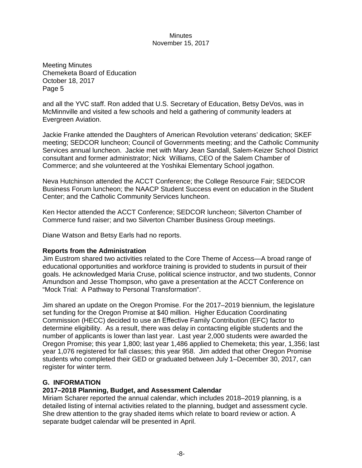Meeting Minutes Chemeketa Board of Education October 18, 2017 Page 5

and all the YVC staff. Ron added that U.S. Secretary of Education, Betsy DeVos, was in McMinnville and visited a few schools and held a gathering of community leaders at Evergreen Aviation.

Jackie Franke attended the Daughters of American Revolution veterans' dedication; SKEF meeting; SEDCOR luncheon; Council of Governments meeting; and the Catholic Community Services annual luncheon. Jackie met with Mary Jean Sandall, Salem-Keizer School District consultant and former administrator; Nick Williams, CEO of the Salem Chamber of Commerce; and she volunteered at the Yoshikai Elementary School jogathon.

Neva Hutchinson attended the ACCT Conference; the College Resource Fair; SEDCOR Business Forum luncheon; the NAACP Student Success event on education in the Student Center; and the Catholic Community Services luncheon.

Ken Hector attended the ACCT Conference; SEDCOR luncheon; Silverton Chamber of Commerce fund raiser; and two Silverton Chamber Business Group meetings.

Diane Watson and Betsy Earls had no reports.

## **Reports from the Administration**

Jim Eustrom shared two activities related to the Core Theme of Access—A broad range of educational opportunities and workforce training is provided to students in pursuit of their goals. He acknowledged Maria Cruse, political science instructor, and two students, Connor Amundson and Jesse Thompson, who gave a presentation at the ACCT Conference on "Mock Trial: A Pathway to Personal Transformation".

Jim shared an update on the Oregon Promise. For the 2017–2019 biennium, the legislature set funding for the Oregon Promise at \$40 million. Higher Education Coordinating Commission (HECC) decided to use an Effective Family Contribution (EFC) factor to determine eligibility. As a result, there was delay in contacting eligible students and the number of applicants is lower than last year. Last year 2,000 students were awarded the Oregon Promise; this year 1,800; last year 1,486 applied to Chemeketa; this year, 1,356; last year 1,076 registered for fall classes; this year 958. Jim added that other Oregon Promise students who completed their GED or graduated between July 1–December 30, 2017, can register for winter term.

## **G. INFORMATION**

## **2017–2018 Planning, Budget, and Assessment Calendar**

Miriam Scharer reported the annual calendar, which includes 2018–2019 planning, is a detailed listing of internal activities related to the planning, budget and assessment cycle. She drew attention to the gray shaded items which relate to board review or action. A separate budget calendar will be presented in April.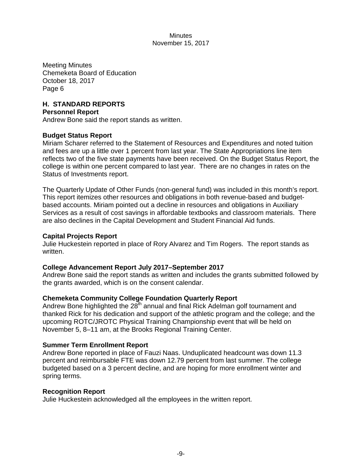Meeting Minutes Chemeketa Board of Education October 18, 2017 Page 6

## **H. STANDARD REPORTS**

#### **Personnel Report**

Andrew Bone said the report stands as written.

## **Budget Status Report**

Miriam Scharer referred to the Statement of Resources and Expenditures and noted tuition and fees are up a little over 1 percent from last year. The State Appropriations line item reflects two of the five state payments have been received. On the Budget Status Report, the college is within one percent compared to last year. There are no changes in rates on the Status of Investments report.

The Quarterly Update of Other Funds (non-general fund) was included in this month's report. This report itemizes other resources and obligations in both revenue-based and budgetbased accounts. Miriam pointed out a decline in resources and obligations in Auxiliary Services as a result of cost savings in affordable textbooks and classroom materials. There are also declines in the Capital Development and Student Financial Aid funds.

#### **Capital Projects Report**

Julie Huckestein reported in place of Rory Alvarez and Tim Rogers. The report stands as written.

## **College Advancement Report July 2017–September 2017**

Andrew Bone said the report stands as written and includes the grants submitted followed by the grants awarded, which is on the consent calendar.

## **Chemeketa Community College Foundation Quarterly Report**

Andrew Bone highlighted the  $28<sup>th</sup>$  annual and final Rick Adelman golf tournament and thanked Rick for his dedication and support of the athletic program and the college; and the upcoming ROTC/JROTC Physical Training Championship event that will be held on November 5, 8–11 am, at the Brooks Regional Training Center.

## **Summer Term Enrollment Report**

Andrew Bone reported in place of Fauzi Naas. Unduplicated headcount was down 11.3 percent and reimbursable FTE was down 12.79 percent from last summer. The college budgeted based on a 3 percent decline, and are hoping for more enrollment winter and spring terms.

#### **Recognition Report**

Julie Huckestein acknowledged all the employees in the written report.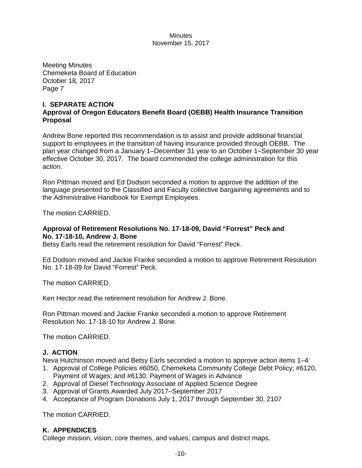Meeting Minutes Chemeketa Board of Education October 18, 2017 Page 7

# **I. SEPARATE ACTION Approval of Oregon Educators Benefit Board (OEBB) Health Insurance Transition Proposal**

Andrew Bone reported this recommendation is to assist and provide additional financial support to employees in the transition of having insurance provided through OEBB. The plan year changed from a January 1–December 31 year to an October 1–September 30 year effective October 30, 2017. The board commended the college administration for this action.

Ron Pittman moved and Ed Dodson seconded a motion to approve the addition of the language presented to the Classified and Faculty collective bargaining agreements and to the Administrative Handbook for Exempt Employees.

The motion CARRIED.

# **Approval of Retirement Resolutions No. 17-18-09, David "Forrest" Peck and No. 17-18-10, Andrew J. Bone**

Betsy Earls read the retirement resolution for David "Forrest" Peck.

Ed Dodson moved and Jackie Franke seconded a motion to approve Retirement Resolution No. 17-18-09 for David "Forrest" Peck.

The motion CARRIED.

Ken Hector read the retirement resolution for Andrew J. Bone.

Ron Pittman moved and Jackie Franke seconded a motion to approve Retirement Resolution No. 17-18-10 for Andrew J. Bone.

The motion CARRIED.

# **J. ACTION**

Neva Hutchinson moved and Betsy Earls seconded a motion to approve action items 1–4:

- 1. Approval of College Policies #6050, Chemeketa Community College Debt Policy; #6120, Payment of Wages; and #6130, Payment of Wages in Advance
- 2. Approval of Diesel Technology Associate of Applied Science Degree
- 3. Approval of Grants Awarded July 2017–September 2017
- 4. Acceptance of Program Donations July 1, 2017 through September 30, 2107

The motion CARRIED.

# **K. APPENDICES**

College mission, vision, core themes, and values; campus and district maps.